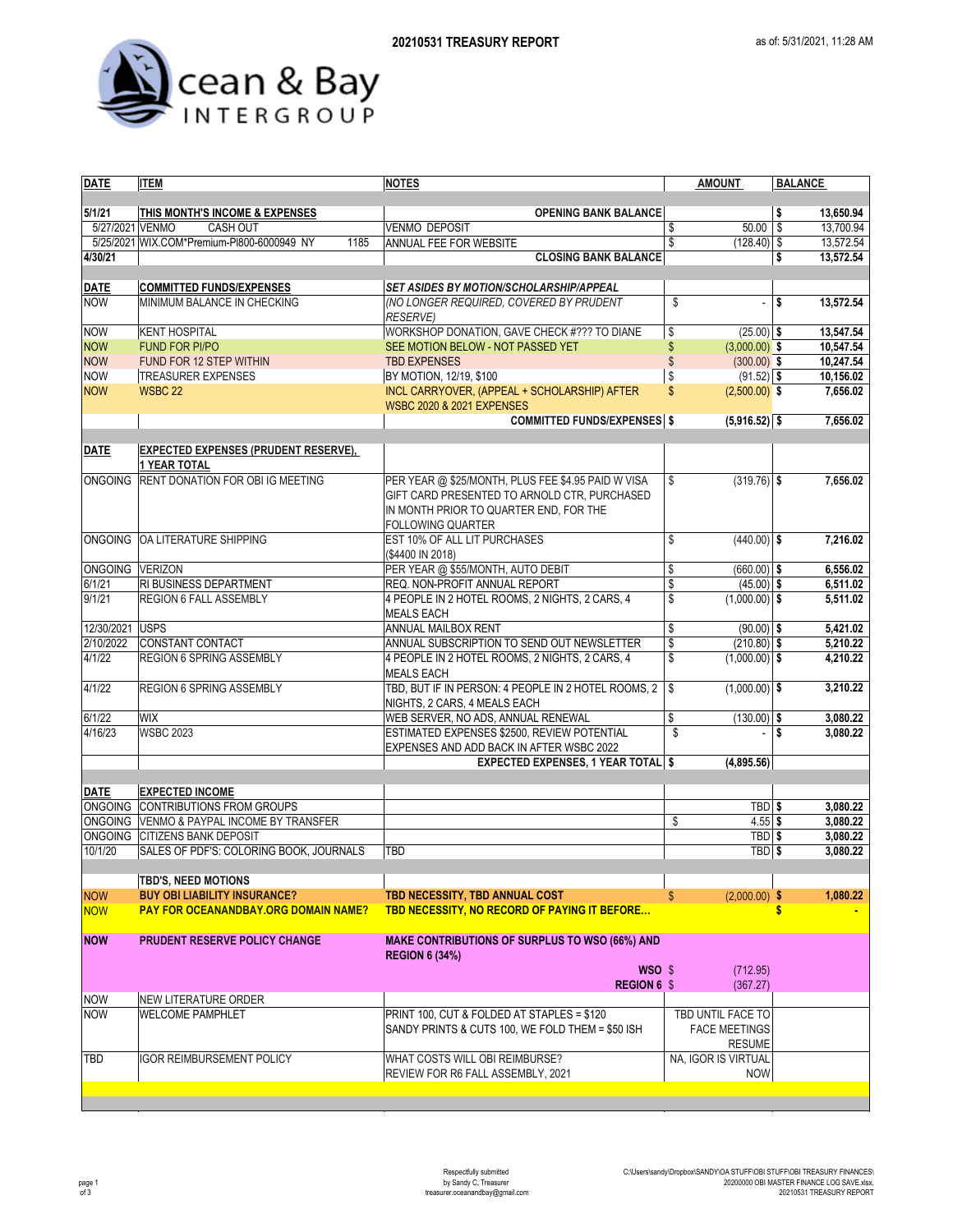

| <b>DATE</b>     | <b>ITEM</b>                                                        | <b>NOTES</b>                                          | <b>AMOUNT</b>                 | <b>BALANCE</b>   |
|-----------------|--------------------------------------------------------------------|-------------------------------------------------------|-------------------------------|------------------|
|                 |                                                                    |                                                       |                               |                  |
| 5/1/21          | THIS MONTH'S INCOME & EXPENSES                                     | <b>OPENING BANK BALANCE</b>                           |                               | \$<br>13,650.94  |
| 5/27/2021 VENMO | <b>CASH OUT</b>                                                    | <b>VENMO DEPOSIT</b>                                  | 50.00<br>\$                   | 13,700.94<br>\$  |
|                 | 5/25/2021 WIX.COM*Premium-PI800-6000949 NY<br>1185                 | ANNUAL FEE FOR WEBSITE                                | \$<br>$(128.40)$ \$           | 13,572.54        |
| 4/30/21         |                                                                    | <b>CLOSING BANK BALANCE</b>                           |                               | 13,572.54<br>\$  |
|                 |                                                                    |                                                       |                               |                  |
| DATE            | <b>COMMITTED FUNDS/EXPENSES</b>                                    | SET ASIDES BY MOTION/SCHOLARSHIP/APPEAL               |                               |                  |
| <b>NOW</b>      | MINIMUM BALANCE IN CHECKING                                        | (NO LONGER REQUIRED, COVERED BY PRUDENT               | \$<br>÷,                      | \$<br>13,572.54  |
|                 |                                                                    |                                                       |                               |                  |
|                 |                                                                    | <b>RESERVE)</b>                                       |                               |                  |
| <b>NOW</b>      | <b>KENT HOSPITAL</b>                                               | WORKSHOP DONATION, GAVE CHECK #??? TO DIANE           | \$<br>$(25.00)$ \$            | 13,547.54        |
| <b>NOW</b>      | <b>FUND FOR PI/PO</b>                                              | SEE MOTION BELOW - NOT PASSED YET                     | \$<br>$(3,000.00)$ \$         | 10,547.54        |
| <b>NOW</b>      | FUND FOR 12 STEP WITHIN                                            | <b>TBD EXPENSES</b>                                   | $\mathbb{S}$<br>$(300.00)$ \$ | 10,247.54        |
| <b>NOW</b>      | <b>TREASURER EXPENSES</b>                                          | BY MOTION, 12/19, \$100                               | \$<br>$(91.52)$ \$            | 10,156.02        |
| <b>NOW</b>      | <b>WSBC 22</b>                                                     | INCL CARRYOVER, (APPEAL + SCHOLARSHIP) AFTER          | \$<br>$(2,500.00)$ \$         | 7,656.02         |
|                 |                                                                    | <b>WSBC 2020 &amp; 2021 EXPENSES</b>                  |                               |                  |
|                 |                                                                    | <b>COMMITTED FUNDS/EXPENSES</b> \$                    | $(5,916.52)$ \$               | 7,656.02         |
|                 |                                                                    |                                                       |                               |                  |
| <b>DATE</b>     | <b>EXPECTED EXPENSES (PRUDENT RESERVE),</b><br><b>1 YEAR TOTAL</b> |                                                       |                               |                  |
| <b>ONGOING</b>  | <b>RENT DONATION FOR OBI IG MEETING</b>                            | PER YEAR @ \$25/MONTH, PLUS FEE \$4.95 PAID W VISA    | \$<br>$(319.76)$ \$           | 7,656.02         |
|                 |                                                                    | GIFT CARD PRESENTED TO ARNOLD CTR, PURCHASED          |                               |                  |
|                 |                                                                    |                                                       |                               |                  |
|                 |                                                                    | IN MONTH PRIOR TO QUARTER END, FOR THE                |                               |                  |
|                 |                                                                    | <b>FOLLOWING QUARTER</b>                              |                               |                  |
|                 | ONGOING OA LITERATURE SHIPPING                                     | EST 10% OF ALL LIT PURCHASES                          | \$<br>$(440.00)$ \$           | 7,216.02         |
|                 |                                                                    | (\$4400 IN 2018)                                      |                               |                  |
| ONGOING VERIZON |                                                                    | PER YEAR @ \$55/MONTH, AUTO DEBIT                     | \$<br>$(660.00)$ \$           | 6,556.02         |
| 6/1/21          | RI BUSINESS DEPARTMENT                                             | REQ. NON-PROFIT ANNUAL REPORT                         | \$<br>$(45.00)$ \$            | 6,511.02         |
| 9/1/21          | REGION 6 FALL ASSEMBLY                                             | 4 PEOPLE IN 2 HOTEL ROOMS, 2 NIGHTS, 2 CARS, 4        | \$<br>$(1,000.00)$ \$         | 5,511.02         |
|                 |                                                                    | <b>MEALS EACH</b>                                     |                               |                  |
| 12/30/2021 USPS |                                                                    | ANNUAL MAILBOX RENT                                   | \$<br>$(90.00)$ \$            | 5,421.02         |
| 2/10/2022       | CONSTANT CONTACT                                                   | ANNUAL SUBSCRIPTION TO SEND OUT NEWSLETTER            | \$<br>$(210.80)$ \$           | 5,210.22         |
| 4/1/22          | REGION 6 SPRING ASSEMBLY                                           | 4 PEOPLE IN 2 HOTEL ROOMS, 2 NIGHTS, 2 CARS, 4        | \$<br>$(1,000.00)$ \$         | 4,210.22         |
|                 |                                                                    | <b>MEALS EACH</b>                                     |                               |                  |
| 4/1/22          | REGION 6 SPRING ASSEMBLY                                           | TBD, BUT IF IN PERSON: 4 PEOPLE IN 2 HOTEL ROOMS, 2   | \$<br>$(1,000.00)$ \$         | 3,210.22         |
|                 |                                                                    |                                                       |                               |                  |
|                 |                                                                    | NIGHTS, 2 CARS, 4 MEALS EACH                          |                               |                  |
| 6/1/22          | WIX                                                                | WEB SERVER, NO ADS, ANNUAL RENEWAL                    | \$<br>$(130.00)$ \$           | 3,080.22         |
| 4/16/23         | <b>WSBC 2023</b>                                                   | ESTIMATED EXPENSES \$2500, REVIEW POTENTIAL           | \$                            | l \$<br>3,080.22 |
|                 |                                                                    | EXPENSES AND ADD BACK IN AFTER WSBC 2022              |                               |                  |
|                 |                                                                    | <b>EXPECTED EXPENSES, 1 YEAR TOTAL \$</b>             | (4,895.56)                    |                  |
|                 |                                                                    |                                                       |                               |                  |
| <b>DATE</b>     | <b>EXPECTED INCOME</b>                                             |                                                       |                               |                  |
|                 | ONGOING CONTRIBUTIONS FROM GROUPS                                  |                                                       | TBD \$                        | 3,080.22         |
|                 | ONGOING VENMO & PAYPAL INCOME BY TRANSFER                          |                                                       | \$<br>$4.55$ \$               | 3,080.22         |
|                 | ONGOING CITIZENS BANK DEPOSIT                                      |                                                       | TBD \$                        | 3,080.22         |
| 10/1/20         | SALES OF PDF'S: COLORING BOOK, JOURNALS                            | TBD                                                   | TBD \$                        | 3,080.22         |
|                 |                                                                    |                                                       |                               |                  |
|                 | <b>TBD'S, NEED MOTIONS</b>                                         |                                                       |                               |                  |
|                 |                                                                    |                                                       |                               | 1,080.22         |
| <b>NOW</b>      | <b>BUY OBI LIABILITY INSURANCE?</b>                                | TBD NECESSITY, TBD ANNUAL COST                        | $(2,000.00)$ \$               |                  |
| <b>NOW</b>      | <b>PAY FOR OCEANANDBAY.ORG DOMAIN NAME?</b>                        | TBD NECESSITY, NO RECORD OF PAYING IT BEFORE          |                               |                  |
|                 |                                                                    |                                                       |                               |                  |
| <b>NOW</b>      | PRUDENT RESERVE POLICY CHANGE                                      | <b>MAKE CONTRIBUTIONS OF SURPLUS TO WSO (66%) AND</b> |                               |                  |
|                 |                                                                    | <b>REGION 6 (34%)</b>                                 |                               |                  |
|                 |                                                                    | WSO \$                                                | (712.95)                      |                  |
|                 |                                                                    | <b>REGION 6 \$</b>                                    | (367.27)                      |                  |
| <b>NOW</b>      | NEW LITERATURE ORDER                                               |                                                       |                               |                  |
| <b>NOW</b>      | <b>WELCOME PAMPHLET</b>                                            | PRINT 100, CUT & FOLDED AT STAPLES = \$120            | TBD UNTIL FACE TO             |                  |
|                 |                                                                    | SANDY PRINTS & CUTS 100, WE FOLD THEM = \$50 ISH      | <b>FACE MEETINGS</b>          |                  |
|                 |                                                                    |                                                       | <b>RESUME</b>                 |                  |
| TBD             | <b>IGOR REIMBURSEMENT POLICY</b>                                   | WHAT COSTS WILL OBI REIMBURSE?                        | NA, IGOR IS VIRTUAL           |                  |
|                 |                                                                    | REVIEW FOR R6 FALL ASSEMBLY, 2021                     | <b>NOW</b>                    |                  |
|                 |                                                                    |                                                       |                               |                  |
|                 |                                                                    |                                                       |                               |                  |
|                 |                                                                    |                                                       |                               |                  |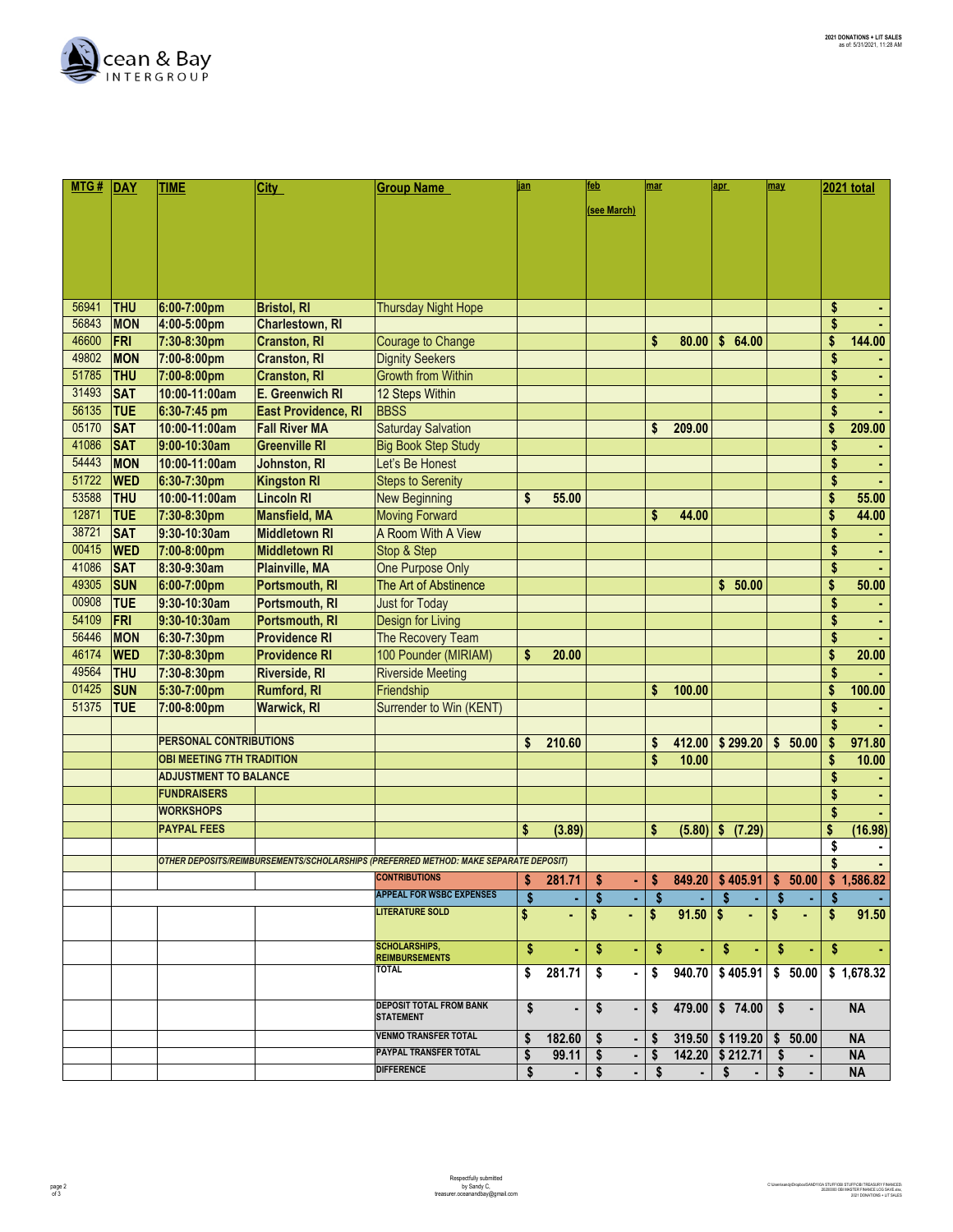

| MTG#  | DAY        | <b>TIME</b>                      | <b>City</b>          | <b>Group Name</b>                                                                    | jan |        | feb         | mar |        | apr             | may      | <b>2021 total</b> |
|-------|------------|----------------------------------|----------------------|--------------------------------------------------------------------------------------|-----|--------|-------------|-----|--------|-----------------|----------|-------------------|
|       |            |                                  |                      |                                                                                      |     |        |             |     |        |                 |          |                   |
|       |            |                                  |                      |                                                                                      |     |        | (see March) |     |        |                 |          |                   |
|       |            |                                  |                      |                                                                                      |     |        |             |     |        |                 |          |                   |
|       |            |                                  |                      |                                                                                      |     |        |             |     |        |                 |          |                   |
|       |            |                                  |                      |                                                                                      |     |        |             |     |        |                 |          |                   |
|       |            |                                  |                      |                                                                                      |     |        |             |     |        |                 |          |                   |
| 56941 | <b>THU</b> | 6:00-7:00pm                      | <b>Bristol, RI</b>   | <b>Thursday Night Hope</b>                                                           |     |        |             |     |        |                 |          | \$                |
| 56843 | <b>MON</b> | 4:00-5:00pm                      | Charlestown, RI      |                                                                                      |     |        |             |     |        |                 |          | \$                |
| 46600 | FRI        | 7:30-8:30pm                      | <b>Cranston, RI</b>  | <b>Courage to Change</b>                                                             |     |        |             | \$  | 80.00  | \$64.00         |          | \$<br>144.00      |
| 49802 | <b>MON</b> | 7:00-8:00pm                      | <b>Cranston, RI</b>  | <b>Dignity Seekers</b>                                                               |     |        |             |     |        |                 |          | \$                |
| 51785 | <b>THU</b> | 7:00-8:00pm                      | <b>Cranston, RI</b>  | <b>Growth from Within</b>                                                            |     |        |             |     |        |                 |          | \$                |
| 31493 | <b>SAT</b> | 10:00-11:00am                    | E. Greenwich RI      | 12 Steps Within                                                                      |     |        |             |     |        |                 |          | \$                |
| 56135 | <b>TUE</b> | 6:30-7:45 pm                     | East Providence, RI  | <b>BBSS</b>                                                                          |     |        |             |     |        |                 |          | \$                |
| 05170 | <b>SAT</b> | 10:00-11:00am                    | <b>Fall River MA</b> | <b>Saturday Salvation</b>                                                            |     |        |             | S   | 209.00 |                 |          | \$<br>209.00      |
| 41086 | <b>SAT</b> | 9:00-10:30am                     | <b>Greenville RI</b> | <b>Big Book Step Study</b>                                                           |     |        |             |     |        |                 |          | \$                |
| 54443 | <b>MON</b> | 10:00-11:00am                    | Johnston, RI         | Let's Be Honest                                                                      |     |        |             |     |        |                 |          | \$                |
| 51722 | <b>WED</b> | 6:30-7:30pm                      | <b>Kingston RI</b>   | <b>Steps to Serenity</b>                                                             |     |        |             |     |        |                 |          | \$                |
| 53588 | <b>THU</b> | 10:00-11:00am                    | <b>Lincoln RI</b>    | <b>New Beginning</b>                                                                 | \$  | 55.00  |             |     |        |                 |          | \$<br>55.00       |
| 12871 | <b>TUE</b> | 7:30-8:30pm                      | <b>Mansfield, MA</b> | <b>Moving Forward</b>                                                                |     |        |             | \$  | 44.00  |                 |          | \$<br>44.00       |
| 38721 | <b>SAT</b> | 9:30-10:30am                     | <b>Middletown RI</b> | A Room With A View                                                                   |     |        |             |     |        |                 |          | \$                |
| 00415 | <b>WED</b> | 7:00-8:00pm                      | <b>Middletown RI</b> | Stop & Step                                                                          |     |        |             |     |        |                 |          | \$                |
| 41086 | <b>SAT</b> | 8:30-9:30am                      | Plainville, MA       | One Purpose Only                                                                     |     |        |             |     |        |                 |          | \$                |
| 49305 | <b>SUN</b> | 6:00-7:00pm                      | Portsmouth, RI       | The Art of Abstinence                                                                |     |        |             |     |        | \$<br>50.00     |          | \$<br>50.00       |
| 00908 | <b>TUE</b> | 9:30-10:30am                     | Portsmouth, RI       | <b>Just for Today</b>                                                                |     |        |             |     |        |                 |          | \$                |
| 54109 | FRI        | 9:30-10:30am                     | Portsmouth, RI       | Design for Living                                                                    |     |        |             |     |        |                 |          | \$                |
| 56446 | <b>MON</b> | 6:30-7:30pm                      | <b>Providence RI</b> | The Recovery Team                                                                    |     |        |             |     |        |                 |          | \$                |
| 46174 | <b>WED</b> | 7:30-8:30pm                      | <b>Providence RI</b> | 100 Pounder (MIRIAM)                                                                 | \$  | 20.00  |             |     |        |                 |          | \$<br>20.00       |
| 49564 | <b>THU</b> | 7:30-8:30pm                      | <b>Riverside, RI</b> | <b>Riverside Meeting</b>                                                             |     |        |             |     |        |                 |          | \$                |
| 01425 | <b>SUN</b> | 5:30-7:00pm                      | <b>Rumford, RI</b>   | Friendship                                                                           |     |        |             | \$  | 100.00 |                 |          | \$<br>100.00      |
| 51375 | <b>TUE</b> | 7:00-8:00pm                      | <b>Warwick, RI</b>   | Surrender to Win (KENT)                                                              |     |        |             |     |        |                 |          | \$                |
|       |            |                                  |                      |                                                                                      |     |        |             |     |        |                 |          | \$                |
|       |            | <b>PERSONAL CONTRIBUTIONS</b>    |                      |                                                                                      | \$  | 210.60 |             | \$  | 412.00 | \$299.20        | \$50.00  | \$<br>971.80      |
|       |            | <b>OBI MEETING 7TH TRADITION</b> |                      |                                                                                      |     |        |             | \$  | 10.00  |                 |          | \$<br>10.00       |
|       |            | <b>ADJUSTMENT TO BALANCE</b>     |                      |                                                                                      |     |        |             |     |        |                 |          | \$                |
|       |            | <b>FUNDRAISERS</b>               |                      |                                                                                      |     |        |             |     |        |                 |          | \$                |
|       |            | <b>WORKSHOPS</b>                 |                      |                                                                                      |     |        |             |     |        |                 |          | \$                |
|       |            | <b>PAYPAL FEES</b>               |                      |                                                                                      | S   | (3.89) |             | \$  | (5.80) | \$ (7.29)       |          | \$<br>(16.98)     |
|       |            |                                  |                      |                                                                                      |     |        |             |     |        |                 |          | \$                |
|       |            |                                  |                      | OTHER DEPOSITS/REIMBURSEMENTS/SCHOLARSHIPS (PREFERRED METHOD: MAKE SEPARATE DEPOSIT) |     |        |             |     |        |                 |          | \$<br>٠           |
|       |            |                                  |                      | <b>CONTRIBUTIONS</b>                                                                 | \$  | 281.71 | \$          | \$  | 849.20 | \$405.91        | \$ 50.00 | \$1,586.82        |
|       |            |                                  |                      | <b>APPEAL FOR WSBC EXPENSES</b>                                                      |     |        | \$          | S   |        | S               | \$<br>٠  | \$                |
|       |            |                                  |                      | <b>LITERATURE SOLD</b>                                                               | \$  | ٠      | \$<br>٠     | S   | 91.50  | - \$<br>٠       | \$<br>٠  | \$<br>91.50       |
|       |            |                                  |                      |                                                                                      |     |        |             |     |        |                 |          |                   |
|       |            |                                  |                      | <b>SCHOLARSHIPS,</b>                                                                 | \$  | ٠      | \$<br>٠     | \$  | ٠      | \$<br>٠         | \$<br>٠  | \$                |
|       |            |                                  |                      | <b>REIMBURSEMENTS</b><br><b>TOTAL</b>                                                | \$  | 281.71 | \$          | \$  | 940.70 | \$405.91        | \$50.00  | \$1,678.32        |
|       |            |                                  |                      |                                                                                      |     |        |             |     |        |                 |          |                   |
|       |            |                                  |                      | <b>DEPOSIT TOTAL FROM BANK</b>                                                       | \$  |        | \$<br>٠     | \$  | 479.00 | \$74.00         | Ŝ.<br>٠  | <b>NA</b>         |
|       |            |                                  |                      | <b>STATEMENT</b>                                                                     |     | ٠      |             |     |        |                 |          |                   |
|       |            |                                  |                      | <b>VENMO TRANSFER TOTAL</b>                                                          | \$  | 182.60 | \$<br>٠     | S   |        | 319.50 \$119.20 | \$50.00  | <b>NA</b>         |
|       |            |                                  |                      | PAYPAL TRANSFER TOTAL                                                                | \$  | 99.11  | s<br>٠      | \$  |        | 142.20 \$212.71 | -S       | <b>NA</b>         |
|       |            |                                  |                      | <b>DIFFERENCE</b>                                                                    | \$  |        | \$<br>٠     | S   |        | s               | S        | <b>NA</b>         |